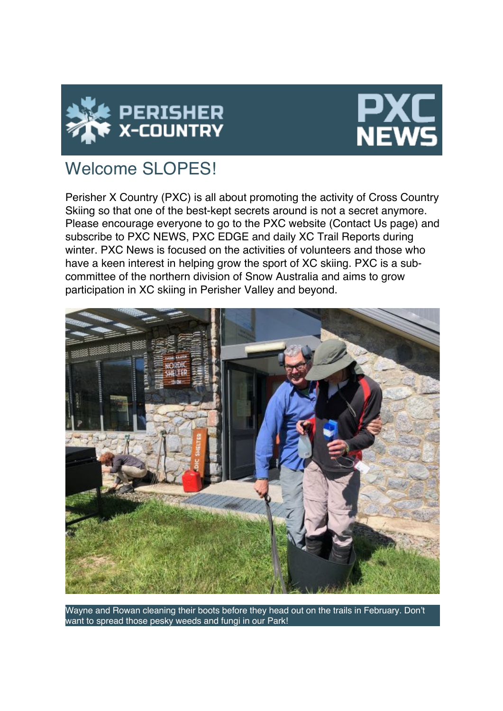



# Welcome SLOPES!

Perisher X Country (PXC) is all about promoting the activity of Cross Country Skiing so that one of the best-kept secrets around is not a secret anymore. Please encourage everyone to go to the PXC website (Contact Us page) and subscribe to PXC NEWS, PXC EDGE and daily XC Trail Reports during winter. PXC News is focused on the activities of volunteers and those who have a keen interest in helping grow the sport of XC skiing. PXC is a subcommittee of the northern division of Snow Australia and aims to grow participation in XC skiing in Perisher Valley and beyond.



Wayne and Rowan cleaning their boots before they head out on the trails in February. Don't want to spread those pesky weeds and fungi in our Park!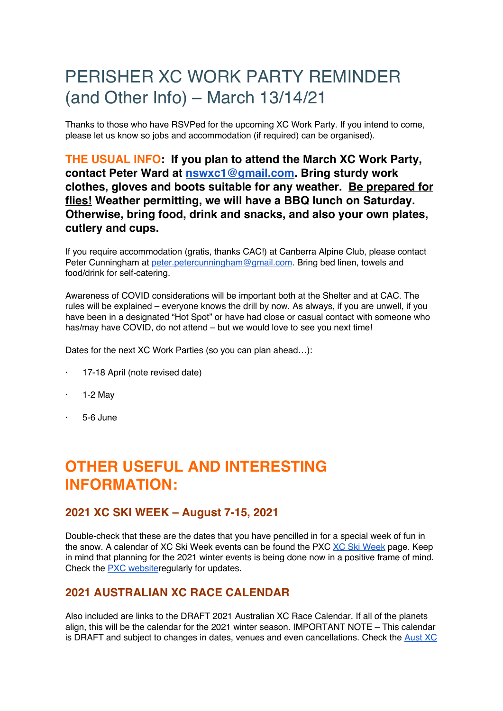# PERISHER XC WORK PARTY REMINDER (and Other Info) – March 13/14/21

Thanks to those who have RSVPed for the upcoming XC Work Party. If you intend to come, please let us know so jobs and accommodation (if required) can be organised).

### **THE USUAL INFO: If you plan to attend the March XC Work Party, contact Peter Ward at nswxc1@gmail.com. Bring sturdy work clothes, gloves and boots suitable for any weather. Be prepared for flies! Weather permitting, we will have a BBQ lunch on Saturday. Otherwise, bring food, drink and snacks, and also your own plates, cutlery and cups.**

If you require accommodation (gratis, thanks CAC!) at Canberra Alpine Club, please contact Peter Cunningham at peter.petercunningham@gmail.com. Bring bed linen, towels and food/drink for self-catering.

Awareness of COVID considerations will be important both at the Shelter and at CAC. The rules will be explained – everyone knows the drill by now. As always, if you are unwell, if you have been in a designated "Hot Spot" or have had close or casual contact with someone who has/may have COVID, do not attend – but we would love to see you next time!

Dates for the next XC Work Parties (so you can plan ahead…):

- 17-18 April (note revised date)
- $\cdot$  1-2 May
- · 5-6 June

## **OTHER USEFUL AND INTERESTING INFORMATION:**

#### **2021 XC SKI WEEK – August 7-15, 2021**

Double-check that these are the dates that you have pencilled in for a special week of fun in the snow. A calendar of XC Ski Week events can be found the PXC XC Ski Week page. Keep in mind that planning for the 2021 winter events is being done now in a positive frame of mind. Check the PXC websiteregularly for updates.

#### **2021 AUSTRALIAN XC RACE CALENDAR**

Also included are links to the DRAFT 2021 Australian XC Race Calendar. If all of the planets align, this will be the calendar for the 2021 winter season. IMPORTANT NOTE – This calendar is DRAFT and subject to changes in dates, venues and even cancellations. Check the Aust XC